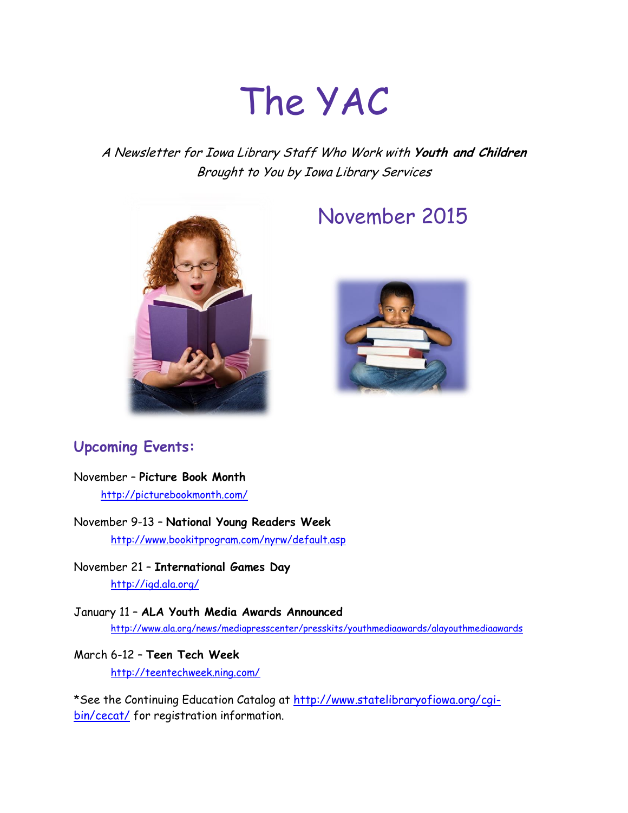# The YAC

A Newsletter for Iowa Library Staff Who Work with **Youth and Children** Brought to You by Iowa Library Services



## November 2015



### **Upcoming Events:**

#### November – **Picture Book Month**

<http://picturebookmonth.com/>

November 9-13 – **National Young Readers Week** <http://www.bookitprogram.com/nyrw/default.asp>

November 21 – **International Games Day** <http://igd.ala.org/>

January 11 – **ALA Youth Media Awards Announced** <http://www.ala.org/news/mediapresscenter/presskits/youthmediaawards/alayouthmediaawards>

#### March 6-12 – **Teen Tech Week** <http://teentechweek.ning.com/>

\*See the Continuing Education Catalog at [http://www.statelibraryofiowa.org/cgi](http://www.statelibraryofiowa.org/cgi-bin/cecat/)[bin/cecat/](http://www.statelibraryofiowa.org/cgi-bin/cecat/) for registration information.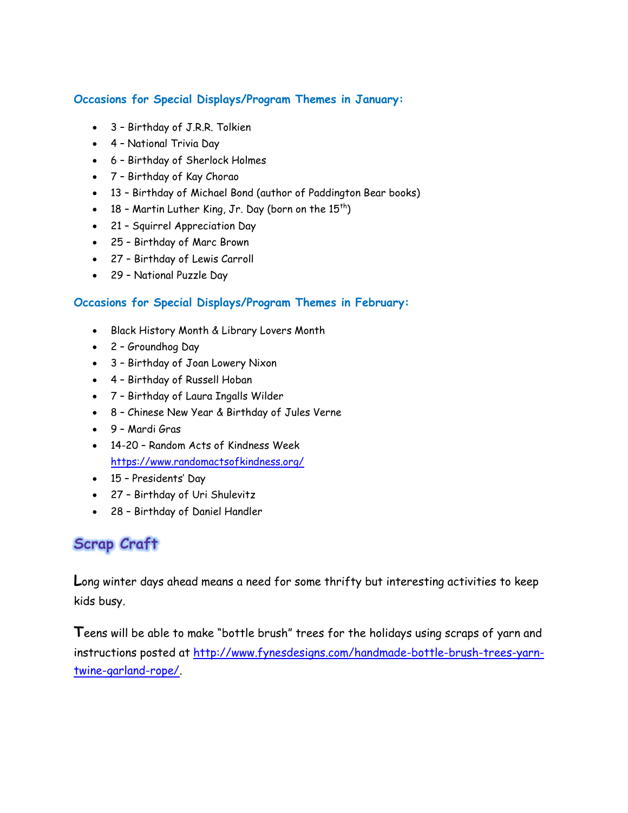#### **Occasions for Special Displays/Program Themes in January:**

- 3 Birthday of J.R.R. Tolkien
- 4 National Trivia Day
- 6 Birthday of Sherlock Holmes
- 7 Birthday of Kay Chorao
- 13 Birthday of Michael Bond (author of Paddington Bear books)
- $\bullet$  18 Martin Luther King, Jr. Day (born on the 15<sup>th</sup>)
- 21 Squirrel Appreciation Day
- 25 Birthday of Marc Brown
- 27 Birthday of Lewis Carroll
- 29 National Puzzle Day

#### **Occasions for Special Displays/Program Themes in February:**

- Black History Month & Library Lovers Month
- 2 Groundhog Day
- 3 Birthday of Joan Lowery Nixon
- 4 Birthday of Russell Hoban
- 7 Birthday of Laura Ingalls Wilder
- 8 Chinese New Year & Birthday of Jules Verne
- 9 Mardi Gras
- 14-20 Random Acts of Kindness Week <https://www.randomactsofkindness.org/>
- 15 Presidents' Day
- 27 Birthday of Uri Shulevitz
- 28 Birthday of Daniel Handler

## **Scrap Craft**

**L**ong winter days ahead means a need for some thrifty but interesting activities to keep kids busy.

**T**eens will be able to make "bottle brush" trees for the holidays using scraps of yarn and instructions posted at [http://www.fynesdesigns.com/handmade-bottle-brush-trees-yarn](http://www.fynesdesigns.com/handmade-bottle-brush-trees-yarn-twine-garland-rope/)[twine-garland-rope/.](http://www.fynesdesigns.com/handmade-bottle-brush-trees-yarn-twine-garland-rope/)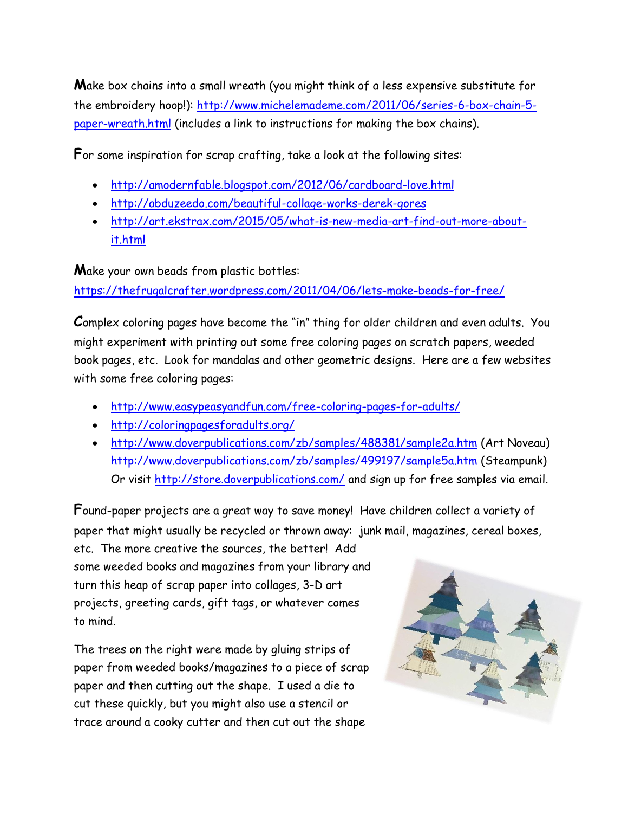**M**ake box chains into a small wreath (you might think of a less expensive substitute for the embroidery hoop!): [http://www.michelemademe.com/2011/06/series-6-box-chain-5](http://www.michelemademe.com/2011/06/series-6-box-chain-5-paper-wreath.html) [paper-wreath.html](http://www.michelemademe.com/2011/06/series-6-box-chain-5-paper-wreath.html) (includes a link to instructions for making the box chains).

**F**or some inspiration for scrap crafting, take a look at the following sites:

- <http://amodernfable.blogspot.com/2012/06/cardboard-love.html>
- <http://abduzeedo.com/beautiful-collage-works-derek-gores>
- [http://art.ekstrax.com/2015/05/what-is-new-media-art-find-out-more-about](http://art.ekstrax.com/2015/05/what-is-new-media-art-find-out-more-about-it.html)[it.html](http://art.ekstrax.com/2015/05/what-is-new-media-art-find-out-more-about-it.html)

**M**ake your own beads from plastic bottles:

<https://thefrugalcrafter.wordpress.com/2011/04/06/lets-make-beads-for-free/>

**C**omplex coloring pages have become the "in" thing for older children and even adults. You might experiment with printing out some free coloring pages on scratch papers, weeded book pages, etc. Look for mandalas and other geometric designs. Here are a few websites with some free coloring pages:

- <http://www.easypeasyandfun.com/free-coloring-pages-for-adults/>
- <http://coloringpagesforadults.org/>
- <http://www.doverpublications.com/zb/samples/488381/sample2a.htm> (Art Noveau) <http://www.doverpublications.com/zb/samples/499197/sample5a.htm> (Steampunk) Or visit<http://store.doverpublications.com/> and sign up for free samples via email.

**F**ound-paper projects are a great way to save money! Have children collect a variety of paper that might usually be recycled or thrown away: junk mail, magazines, cereal boxes,

etc. The more creative the sources, the better! Add some weeded books and magazines from your library and turn this heap of scrap paper into collages, 3-D art projects, greeting cards, gift tags, or whatever comes to mind.

The trees on the right were made by gluing strips of paper from weeded books/magazines to a piece of scrap paper and then cutting out the shape. I used a die to cut these quickly, but you might also use a stencil or trace around a cooky cutter and then cut out the shape

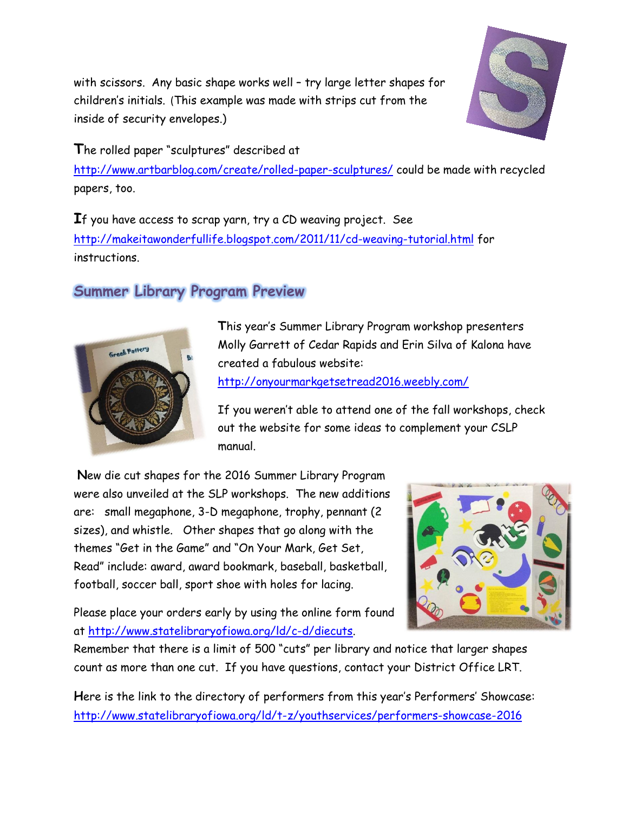with scissors. Any basic shape works well – try large letter shapes for children's initials. (This example was made with strips cut from the inside of security envelopes.)

**T**he rolled paper "sculptures" described at

<http://www.artbarblog.com/create/rolled-paper-sculptures/> could be made with recycled papers, too.

**I**f you have access to scrap yarn, try a CD weaving project. See <http://makeitawonderfullife.blogspot.com/2011/11/cd-weaving-tutorial.html> for instructions.

## **Summer Library Program Preview**



**T**his year's Summer Library Program workshop presenters Molly Garrett of Cedar Rapids and Erin Silva of Kalona have created a fabulous website:

<http://onyourmarkgetsetread2016.weebly.com/>

If you weren't able to attend one of the fall workshops, check out the website for some ideas to complement your CSLP manual.

**N**ew die cut shapes for the 2016 Summer Library Program were also unveiled at the SLP workshops. The new additions are: small megaphone, 3-D megaphone, trophy, pennant (2 sizes), and whistle. Other shapes that go along with the themes "Get in the Game" and "On Your Mark, Get Set, Read" include: award, award bookmark, baseball, basketball, football, soccer ball, sport shoe with holes for lacing.

Please place your orders early by using the online form found at [http://www.statelibraryofiowa.org/ld/c-d/diecuts.](http://www.statelibraryofiowa.org/ld/c-d/diecuts)



Remember that there is a limit of 500 "cuts" per library and notice that larger shapes count as more than one cut. If you have questions, contact your District Office LRT.

**H**ere is the link to the directory of performers from this year's Performers' Showcase: <http://www.statelibraryofiowa.org/ld/t-z/youthservices/performers-showcase-2016>

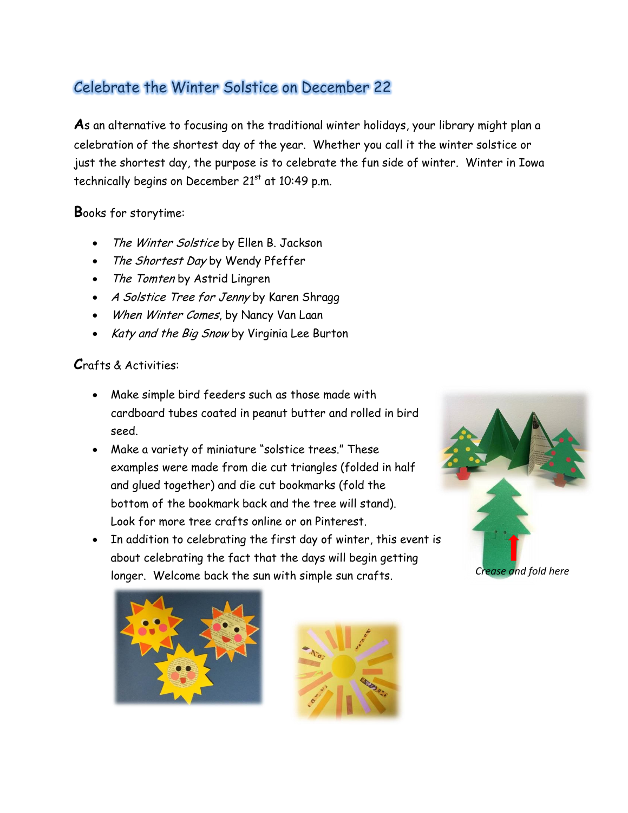## Celebrate the Winter Solstice on December 22

**A**s an alternative to focusing on the traditional winter holidays, your library might plan a celebration of the shortest day of the year. Whether you call it the winter solstice or just the shortest day, the purpose is to celebrate the fun side of winter. Winter in Iowa technically begins on December  $21<sup>st</sup>$  at 10:49 p.m.

#### **B**ooks for storytime:

- The Winter Solstice by Ellen B. Jackson
- The Shortest Day by Wendy Pfeffer
- The Tomten by Astrid Lingren
- A Solstice Tree for Jenny by Karen Shragg
- When Winter Comes, by Nancy Van Laan
- Katy and the Big Snow by Virginia Lee Burton

#### **C**rafts & Activities:

- Make simple bird feeders such as those made with cardboard tubes coated in peanut butter and rolled in bird seed.
- Make a variety of miniature "solstice trees." These examples were made from die cut triangles (folded in half and glued together) and die cut bookmarks (fold the bottom of the bookmark back and the tree will stand). Look for more tree crafts online or on Pinterest.
- In addition to celebrating the first day of winter, this event is about celebrating the fact that the days will begin getting longer. Welcome back the sun with simple sun crafts.





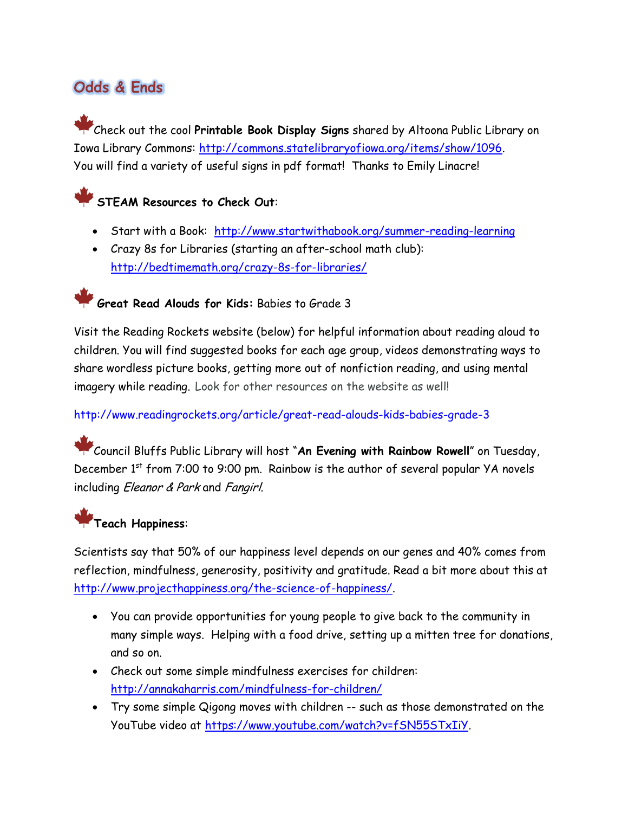## **Odds & Ends**

Check out the cool **Printable Book Display Signs** shared by Altoona Public Library on Iowa Library Commons: [http://commons.statelibraryofiowa.org/items/show/1096.](http://commons.statelibraryofiowa.org/items/show/1096) You will find a variety of useful signs in pdf format! Thanks to Emily Linacre!

**STEAM Resources to Check Out**:

- Start with a Book: <http://www.startwithabook.org/summer-reading-learning>
- Crazy 8s for Libraries (starting an after-school math club): <http://bedtimemath.org/crazy-8s-for-libraries/>

## **Great Read Alouds for Kids:** Babies to Grade 3

Visit the Reading Rockets website (below) for helpful information about reading aloud to children. You will find suggested books for each age group, videos demonstrating ways to share wordless picture books, getting more out of nonfiction reading, and using mental imagery while reading. Look for other resources on the website as well!

#### <http://www.readingrockets.org/article/great-read-alouds-kids-babies-grade-3>

Council Bluffs Public Library will host "**An Evening with Rainbow Rowell**" on Tuesday, December  $1<sup>st</sup>$  from 7:00 to 9:00 pm. Rainbow is the author of several popular YA novels including *Eleanor & Park* and *Fangirl*.

## **Teach Happiness**:

Scientists say that 50% of our happiness level depends on our genes and 40% comes from reflection, mindfulness, generosity, positivity and gratitude. Read a bit more about this at [http://www.projecthappiness.org/the-science-of-happiness/.](http://www.projecthappiness.org/the-science-of-happiness/)

- You can provide opportunities for young people to give back to the community in many simple ways. Helping with a food drive, setting up a mitten tree for donations, and so on.
- Check out some simple mindfulness exercises for children: <http://annakaharris.com/mindfulness-for-children/>
- Try some simple Qigong moves with children -- such as those demonstrated on the YouTube video at [https://www.youtube.com/watch?v=fSN55STxIiY.](https://www.youtube.com/watch?v=fSN55STxIiY)